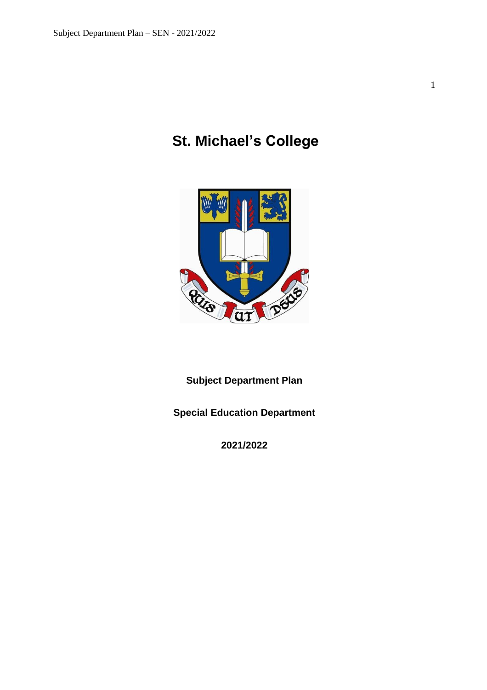1

# **St. Michael's College**



**Subject Department Plan**

**Special Education Department**

**2021/2022**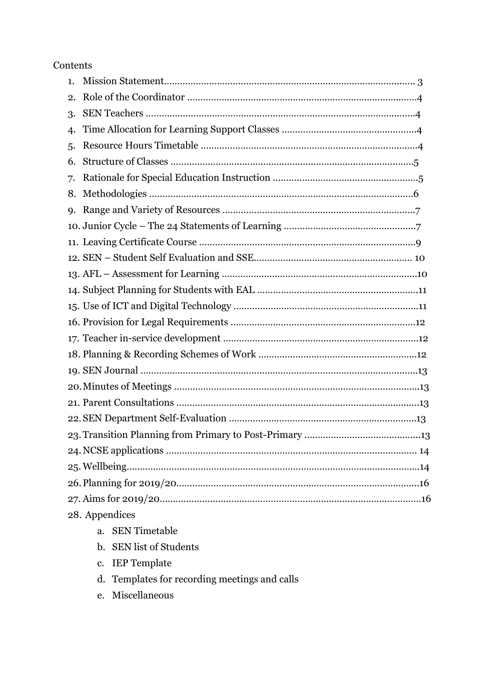# Contents

| 1.             |                                     |  |
|----------------|-------------------------------------|--|
| 2.             |                                     |  |
| 3.             |                                     |  |
| 4.             |                                     |  |
| 5.             |                                     |  |
| 6.             |                                     |  |
| 7.             |                                     |  |
| 8.             |                                     |  |
| <b>9.</b>      |                                     |  |
|                |                                     |  |
|                |                                     |  |
|                |                                     |  |
|                |                                     |  |
|                |                                     |  |
|                |                                     |  |
|                |                                     |  |
|                |                                     |  |
|                |                                     |  |
|                |                                     |  |
|                |                                     |  |
|                |                                     |  |
|                |                                     |  |
|                |                                     |  |
|                |                                     |  |
|                |                                     |  |
|                |                                     |  |
|                |                                     |  |
| 28. Appendices |                                     |  |
|                | <b>SEN Timetable</b><br>$a_{\cdot}$ |  |
|                |                                     |  |

- b. SEN list of Students
- c. IEP Template
- d. Templates for recording meetings and calls
- e. Miscellaneous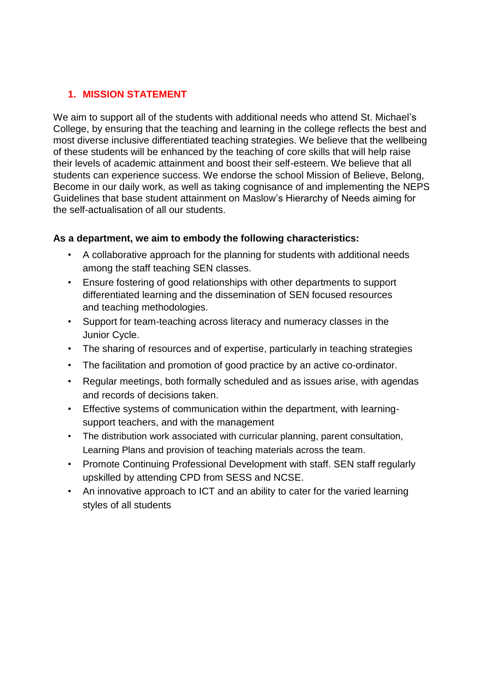# **1. MISSION STATEMENT**

We aim to support all of the students with additional needs who attend St. Michael's College, by ensuring that the teaching and learning in the college reflects the best and most diverse inclusive differentiated teaching strategies. We believe that the wellbeing of these students will be enhanced by the teaching of core skills that will help raise their levels of academic attainment and boost their self-esteem. We believe that all students can experience success. We endorse the school Mission of Believe, Belong, Become in our daily work, as well as taking cognisance of and implementing the NEPS Guidelines that base student attainment on Maslow's Hierarchy of Needs aiming for the self-actualisation of all our students.

# **As a department, we aim to embody the following characteristics:**

- A collaborative approach for the planning for students with additional needs among the staff teaching SEN classes.
- Ensure fostering of good relationships with other departments to support differentiated learning and the dissemination of SEN focused resources and teaching methodologies.
- Support for team-teaching across literacy and numeracy classes in the Junior Cycle.
- The sharing of resources and of expertise, particularly in teaching strategies
- The facilitation and promotion of good practice by an active co-ordinator.
- Regular meetings, both formally scheduled and as issues arise, with agendas and records of decisions taken.
- Effective systems of communication within the department, with learningsupport teachers, and with the management
- The distribution work associated with curricular planning, parent consultation, Learning Plans and provision of teaching materials across the team.
- Promote Continuing Professional Development with staff. SEN staff regularly upskilled by attending CPD from SESS and NCSE.
- An innovative approach to ICT and an ability to cater for the varied learning styles of all students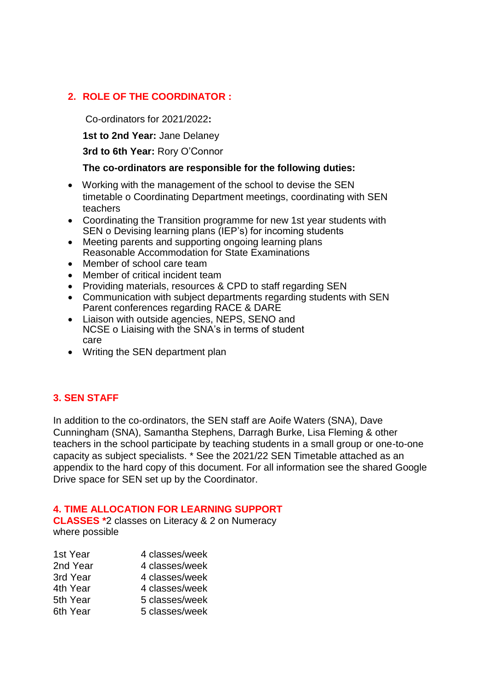# **2. ROLE OF THE COORDINATOR :**

Co-ordinators for 2021/2022**:**

**1st to 2nd Year:** Jane Delaney

**3rd to 6th Year:** Rory O'Connor

### **The co-ordinators are responsible for the following duties:**

- Working with the management of the school to devise the SEN timetable o Coordinating Department meetings, coordinating with SEN teachers
- Coordinating the Transition programme for new 1st year students with SEN o Devising learning plans (IEP's) for incoming students
- Meeting parents and supporting ongoing learning plans Reasonable Accommodation for State Examinations
- Member of school care team
- Member of critical incident team
- Providing materials, resources & CPD to staff regarding SEN
- Communication with subject departments regarding students with SEN Parent conferences regarding RACE & DARE
- Liaison with outside agencies, NEPS, SENO and NCSE o Liaising with the SNA's in terms of student care
- Writing the SEN department plan

# **3. SEN STAFF**

In addition to the co-ordinators, the SEN staff are Aoife Waters (SNA), Dave Cunningham (SNA), Samantha Stephens, Darragh Burke, Lisa Fleming & other teachers in the school participate by teaching students in a small group or one-to-one capacity as subject specialists. \* See the 2021/22 SEN Timetable attached as an appendix to the hard copy of this document. For all information see the shared Google Drive space for SEN set up by the Coordinator.

# **4. TIME ALLOCATION FOR LEARNING SUPPORT**

**CLASSES \***2 classes on Literacy & 2 on Numeracy where possible

| 1st Year | 4 classes/week |
|----------|----------------|
| 2nd Year | 4 classes/week |
| 3rd Year | 4 classes/week |
| 4th Year | 4 classes/week |
| 5th Year | 5 classes/week |
| 6th Year | 5 classes/week |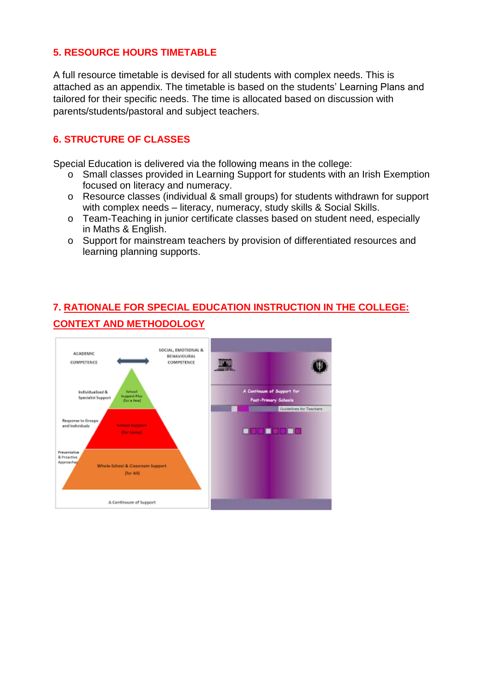# **5. RESOURCE HOURS TIMETABLE**

A full resource timetable is devised for all students with complex needs. This is attached as an appendix. The timetable is based on the students' Learning Plans and tailored for their specific needs. The time is allocated based on discussion with parents/students/pastoral and subject teachers.

# **6. STRUCTURE OF CLASSES**

Special Education is delivered via the following means in the college:

- o Small classes provided in Learning Support for students with an Irish Exemption focused on literacy and numeracy.
- o Resource classes (individual & small groups) for students withdrawn for support with complex needs – literacy, numeracy, study skills & Social Skills.
- o Team-Teaching in junior certificate classes based on student need, especially in Maths & English.
- o Support for mainstream teachers by provision of differentiated resources and learning planning supports.

# **7. RATIONALE FOR SPECIAL EDUCATION INSTRUCTION IN THE COLLEGE: CONTEXT AND METHODOLOGY**

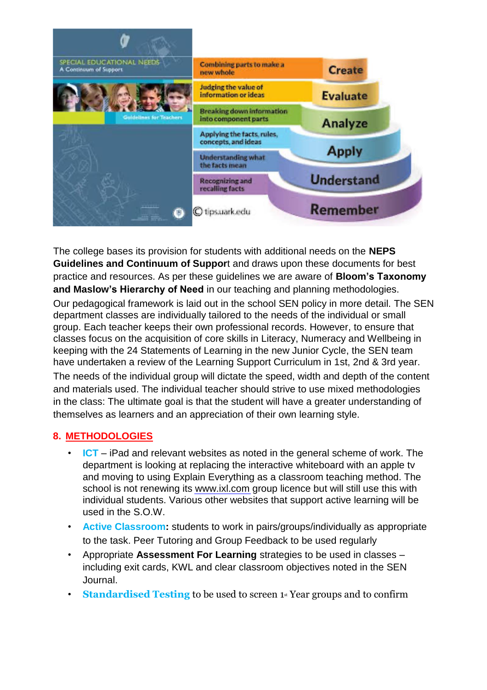

The college bases its provision for students with additional needs on the **NEPS Guidelines and Continuum of Suppor**t and draws upon these documents for best practice and resources. As per these guidelines we are aware of **Bloom's Taxonomy and Maslow's Hierarchy of Need** in our teaching and planning methodologies.

Our pedagogical framework is laid out in the school SEN policy in more detail. The SEN department classes are individually tailored to the needs of the individual or small group. Each teacher keeps their own professional records. However, to ensure that classes focus on the acquisition of core skills in Literacy, Numeracy and Wellbeing in keeping with the 24 Statements of Learning in the new Junior Cycle, the SEN team have undertaken a review of the Learning Support Curriculum in 1st, 2nd & 3rd year. The needs of the individual group will dictate the speed, width and depth of the content and materials used. The individual teacher should strive to use mixed methodologies in the class: The ultimate goal is that the student will have a greater understanding of themselves as learners and an appreciation of their own learning style.

# **8. METHODOLOGIES**

- **ICT** iPad and relevant websites as noted in the general scheme of work. The department is looking at replacing the interactive whiteboard with an apple tv and moving to using Explain Everything as a classroom teaching method. The school is not renewing its www.ixl.com group licence but will still use this with individual students. Various other websites that support active learning will be used in the S.O.W.
- **Active Classroom:** students to work in pairs/groups/individually as appropriate to the task. Peer Tutoring and Group Feedback to be used regularly
- Appropriate **Assessment For Learning** strategies to be used in classes including exit cards, KWL and clear classroom objectives noted in the SEN Journal.
- **Standardised Testing** to be used to screen 1<sup>st</sup> Year groups and to confirm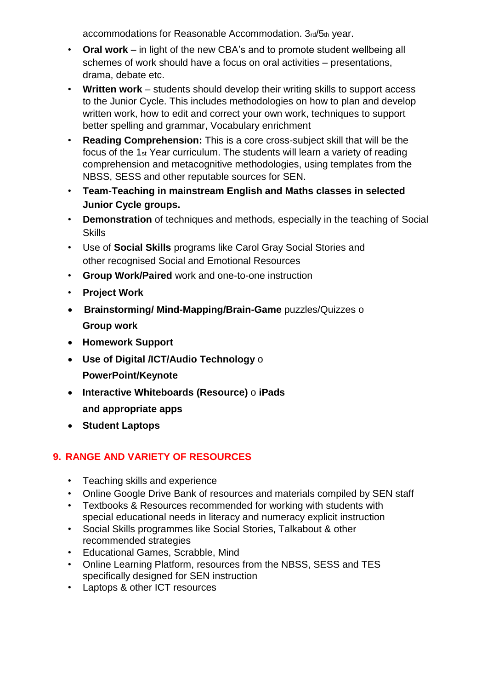accommodations for Reasonable Accommodation. 3rd/5th year.

- **Oral work** in light of the new CBA's and to promote student wellbeing all schemes of work should have a focus on oral activities – presentations, drama, debate etc.
- **Written work** students should develop their writing skills to support access to the Junior Cycle. This includes methodologies on how to plan and develop written work, how to edit and correct your own work, techniques to support better spelling and grammar, Vocabulary enrichment
- **Reading Comprehension:** This is a core cross-subject skill that will be the focus of the 1st Year curriculum. The students will learn a variety of reading comprehension and metacognitive methodologies, using templates from the NBSS, SESS and other reputable sources for SEN.
- **Team-Teaching in mainstream English and Maths classes in selected Junior Cycle groups.**
- **Demonstration** of techniques and methods, especially in the teaching of Social Skills
- Use of **Social Skills** programs like Carol Gray Social Stories and other recognised Social and Emotional Resources
- **Group Work/Paired** work and one-to-one instruction
- **Project Work**
- **Brainstorming/ Mind-Mapping/Brain-Game** puzzles/Quizzes o **Group work**
- **Homework Support**
- **Use of Digital /ICT/Audio Technology** o **PowerPoint/Keynote**
- **Interactive Whiteboards (Resource)** o **iPads and appropriate apps**
- **Student Laptops**

# **9. RANGE AND VARIETY OF RESOURCES**

- Teaching skills and experience
- Online Google Drive Bank of resources and materials compiled by SEN staff
- Textbooks & Resources recommended for working with students with special educational needs in literacy and numeracy explicit instruction
- Social Skills programmes like Social Stories, Talkabout & other recommended strategies
- Educational Games, Scrabble, Mind
- Online Learning Platform, resources from the NBSS, SESS and TES specifically designed for SEN instruction
- Laptops & other ICT resources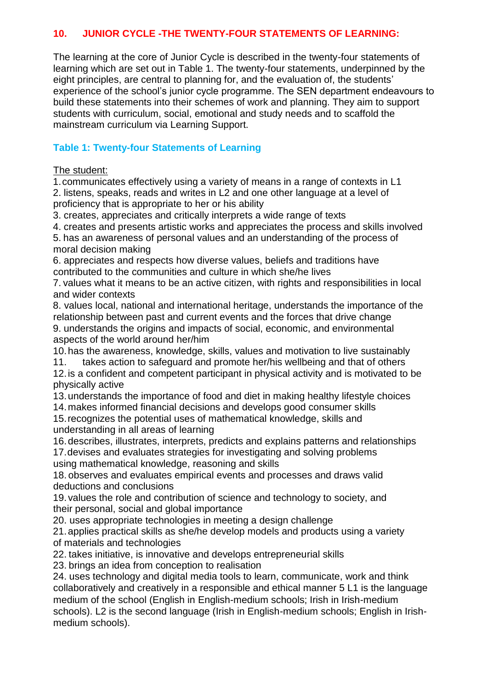# **10. JUNIOR CYCLE -THE TWENTY-FOUR STATEMENTS OF LEARNING:**

The learning at the core of Junior Cycle is described in the twenty-four statements of learning which are set out in Table 1. The twenty-four statements, underpinned by the eight principles, are central to planning for, and the evaluation of, the students' experience of the school's junior cycle programme. The SEN department endeavours to build these statements into their schemes of work and planning. They aim to support students with curriculum, social, emotional and study needs and to scaffold the mainstream curriculum via Learning Support.

# **Table 1: Twenty-four Statements of Learning**

### The student:

1.communicates effectively using a variety of means in a range of contexts in L1 2. listens, speaks, reads and writes in L2 and one other language at a level of proficiency that is appropriate to her or his ability

3. creates, appreciates and critically interprets a wide range of texts

4. creates and presents artistic works and appreciates the process and skills involved

5. has an awareness of personal values and an understanding of the process of moral decision making

6. appreciates and respects how diverse values, beliefs and traditions have contributed to the communities and culture in which she/he lives

7. values what it means to be an active citizen, with rights and responsibilities in local and wider contexts

8. values local, national and international heritage, understands the importance of the relationship between past and current events and the forces that drive change 9. understands the origins and impacts of social, economic, and environmental aspects of the world around her/him

10.has the awareness, knowledge, skills, values and motivation to live sustainably

11. takes action to safeguard and promote her/his wellbeing and that of others

12.is a confident and competent participant in physical activity and is motivated to be physically active

13.understands the importance of food and diet in making healthy lifestyle choices

14.makes informed financial decisions and develops good consumer skills 15.recognizes the potential uses of mathematical knowledge, skills and understanding in all areas of learning

16.describes, illustrates, interprets, predicts and explains patterns and relationships

17.devises and evaluates strategies for investigating and solving problems using mathematical knowledge, reasoning and skills

18. observes and evaluates empirical events and processes and draws valid deductions and conclusions

19. values the role and contribution of science and technology to society, and their personal, social and global importance

20. uses appropriate technologies in meeting a design challenge

21.applies practical skills as she/he develop models and products using a variety of materials and technologies

22. takes initiative, is innovative and develops entrepreneurial skills

23. brings an idea from conception to realisation

24. uses technology and digital media tools to learn, communicate, work and think collaboratively and creatively in a responsible and ethical manner 5 L1 is the language medium of the school (English in English-medium schools; Irish in Irish-medium schools). L2 is the second language (Irish in English-medium schools; English in Irishmedium schools).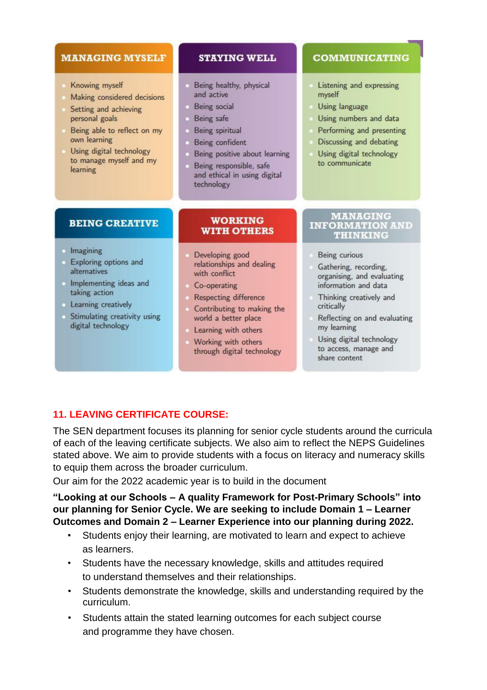### **MANAGING MYSELF**

- Knowing myself
- Making considered decisions
- Setting and achieving personal goals
- Being able to reflect on my own learning
- Using digital technology to manage myself and my learning

### **STAYING WELL**

- Being healthy, physical and active
- **Being** social
- Being safe
- **Being spiritual**
- Being confident
- Being positive about learning
- Being responsible, safe and ethical in using digital technology

### **COMMUNICATING**

- Listening and expressing myself
- Using language
- Using numbers and data
- Performing and presenting
- Discussing and debating
- Using digital technology to communicate

# **BEING CREATIVE**

#### · Imagining

- Exploring options and alternatives
- Implementing ideas and taking action
- **Learning creatively**
- Stimulating creativity using digital technology

#### **WORKING WITH OTHERS**

- Developing good relationships and dealing with conflict
- Co-operating
- **Respecting difference**
- Contributing to making the world a better place
- Learning with others
- Working with others through digital technology

#### **MANAGING INFORMATION AND THINKING**

- Being curious
- Gathering, recording, organising, and evaluating information and data
- Thinking creatively and critically
- Reflecting on and evaluating my learning
- Using digital technology to access, manage and share content

# **11. LEAVING CERTIFICATE COURSE:**

The SEN department focuses its planning for senior cycle students around the curricula of each of the leaving certificate subjects. We also aim to reflect the NEPS Guidelines stated above. We aim to provide students with a focus on literacy and numeracy skills to equip them across the broader curriculum.

Our aim for the 2022 academic year is to build in the document

**"Looking at our Schools – A quality Framework for Post-Primary Schools" into our planning for Senior Cycle. We are seeking to include Domain 1 – Learner Outcomes and Domain 2 – Learner Experience into our planning during 2022.**

- Students enjoy their learning, are motivated to learn and expect to achieve as learners.
- Students have the necessary knowledge, skills and attitudes required to understand themselves and their relationships.
- Students demonstrate the knowledge, skills and understanding required by the curriculum.
- Students attain the stated learning outcomes for each subject course and programme they have chosen.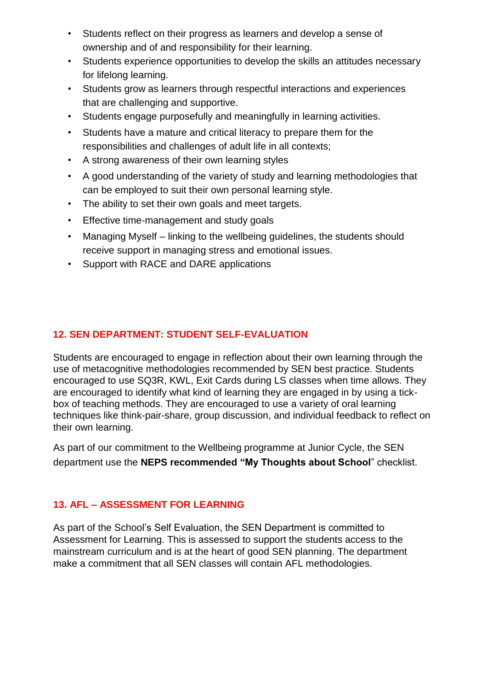- Students reflect on their progress as learners and develop a sense of ownership and of and responsibility for their learning.
- Students experience opportunities to develop the skills an attitudes necessary for lifelong learning.
- Students grow as learners through respectful interactions and experiences that are challenging and supportive.
- Students engage purposefully and meaningfully in learning activities.
- Students have a mature and critical literacy to prepare them for the responsibilities and challenges of adult life in all contexts;
- A strong awareness of their own learning styles
- A good understanding of the variety of study and learning methodologies that can be employed to suit their own personal learning style.
- The ability to set their own goals and meet targets.
- Effective time-management and study goals
- Managing Myself linking to the wellbeing guidelines, the students should receive support in managing stress and emotional issues.
- Support with RACE and DARE applications

# **12. SEN DEPARTMENT: STUDENT SELF-EVALUATION**

Students are encouraged to engage in reflection about their own learning through the use of metacognitive methodologies recommended by SEN best practice. Students encouraged to use SQ3R, KWL, Exit Cards during LS classes when time allows. They are encouraged to identify what kind of learning they are engaged in by using a tickbox of teaching methods. They are encouraged to use a variety of oral learning techniques like think-pair-share, group discussion, and individual feedback to reflect on their own learning.

As part of our commitment to the Wellbeing programme at Junior Cycle, the SEN department use the **NEPS recommended "My Thoughts about School**" checklist.

# **13. AFL – ASSESSMENT FOR LEARNING**

As part of the School's Self Evaluation, the SEN Department is committed to Assessment for Learning. This is assessed to support the students access to the mainstream curriculum and is at the heart of good SEN planning. The department make a commitment that all SEN classes will contain AFL methodologies.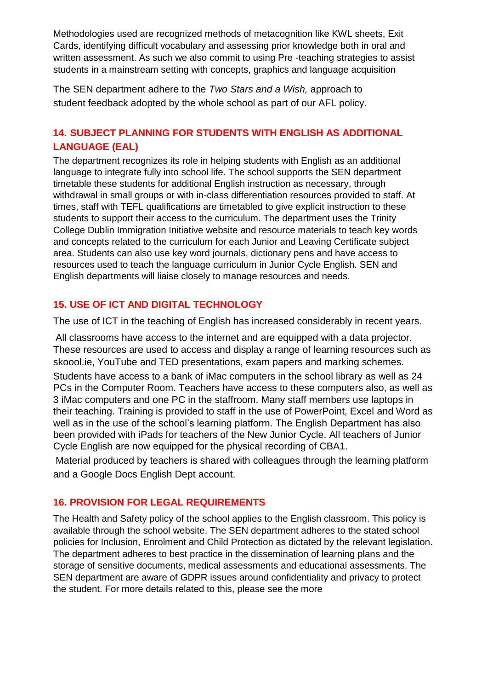Methodologies used are recognized methods of metacognition like KWL sheets, Exit Cards, identifying difficult vocabulary and assessing prior knowledge both in oral and written assessment. As such we also commit to using Pre -teaching strategies to assist students in a mainstream setting with concepts, graphics and language acquisition

The SEN department adhere to the *Two Stars and a Wish,* approach to student feedback adopted by the whole school as part of our AFL policy.

# **14. SUBJECT PLANNING FOR STUDENTS WITH ENGLISH AS ADDITIONAL LANGUAGE (EAL)**

The department recognizes its role in helping students with English as an additional language to integrate fully into school life. The school supports the SEN department timetable these students for additional English instruction as necessary, through withdrawal in small groups or with in-class differentiation resources provided to staff. At times, staff with TEFL qualifications are timetabled to give explicit instruction to these students to support their access to the curriculum. The department uses the Trinity College Dublin Immigration Initiative website and resource materials to teach key words and concepts related to the curriculum for each Junior and Leaving Certificate subject area. Students can also use key word journals, dictionary pens and have access to resources used to teach the language curriculum in Junior Cycle English. SEN and English departments will liaise closely to manage resources and needs.

# **15. USE OF ICT AND DIGITAL TECHNOLOGY**

The use of ICT in the teaching of English has increased considerably in recent years.

All classrooms have access to the internet and are equipped with a data projector. These resources are used to access and display a range of learning resources such as skoool.ie, YouTube and TED presentations, exam papers and marking schemes.

Students have access to a bank of iMac computers in the school library as well as 24 PCs in the Computer Room. Teachers have access to these computers also, as well as 3 iMac computers and one PC in the staffroom. Many staff members use laptops in their teaching. Training is provided to staff in the use of PowerPoint, Excel and Word as well as in the use of the school's learning platform. The English Department has also been provided with iPads for teachers of the New Junior Cycle. All teachers of Junior Cycle English are now equipped for the physical recording of CBA1.

Material produced by teachers is shared with colleagues through the learning platform and a Google Docs English Dept account.

# **16. PROVISION FOR LEGAL REQUIREMENTS**

The Health and Safety policy of the school applies to the English classroom. This policy is available through the school website. The SEN department adheres to the stated school policies for Inclusion, Enrolment and Child Protection as dictated by the relevant legislation. The department adheres to best practice in the dissemination of learning plans and the storage of sensitive documents, medical assessments and educational assessments. The SEN department are aware of GDPR issues around confidentiality and privacy to protect the student. For more details related to this, please see the more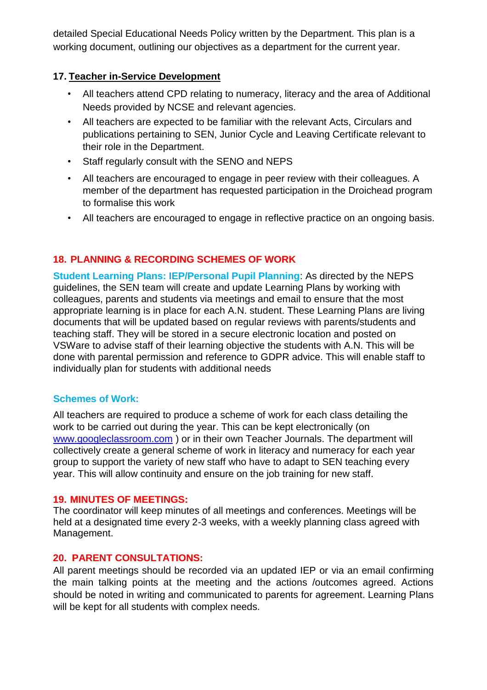detailed Special Educational Needs Policy written by the Department. This plan is a working document, outlining our objectives as a department for the current year.

# **17. Teacher in-Service Development**

- All teachers attend CPD relating to numeracy, literacy and the area of Additional Needs provided by NCSE and relevant agencies.
- All teachers are expected to be familiar with the relevant Acts, Circulars and publications pertaining to SEN, Junior Cycle and Leaving Certificate relevant to their role in the Department.
- Staff regularly consult with the SENO and NEPS
- All teachers are encouraged to engage in peer review with their colleagues. A member of the department has requested participation in the Droichead program to formalise this work
- All teachers are encouraged to engage in reflective practice on an ongoing basis.

# **18. PLANNING & RECORDING SCHEMES OF WORK**

**Student Learning Plans: IEP/Personal Pupil Planning**: As directed by the NEPS guidelines, the SEN team will create and update Learning Plans by working with colleagues, parents and students via meetings and email to ensure that the most appropriate learning is in place for each A.N. student. These Learning Plans are living documents that will be updated based on regular reviews with parents/students and teaching staff. They will be stored in a secure electronic location and posted on VSWare to advise staff of their learning objective the students with A.N. This will be done with parental permission and reference to GDPR advice. This will enable staff to individually plan for students with additional needs

# **Schemes of Work:**

All teachers are required to produce a scheme of work for each class detailing the work to be carried out during the year. This can be kept electronically (on www.googleclassroom.com ) or in their own Teacher Journals. The department will collectively create a general scheme of work in literacy and numeracy for each year group to support the variety of new staff who have to adapt to SEN teaching every year. This will allow continuity and ensure on the job training for new staff.

# **19. MINUTES OF MEETINGS:**

The coordinator will keep minutes of all meetings and conferences. Meetings will be held at a designated time every 2-3 weeks, with a weekly planning class agreed with Management.

# **20. PARENT CONSULTATIONS:**

All parent meetings should be recorded via an updated IEP or via an email confirming the main talking points at the meeting and the actions /outcomes agreed. Actions should be noted in writing and communicated to parents for agreement. Learning Plans will be kept for all students with complex needs.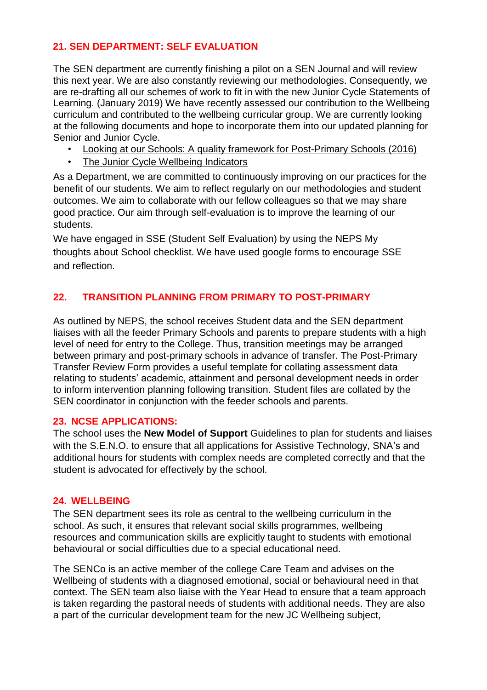# **21. SEN DEPARTMENT: SELF EVALUATION**

The SEN department are currently finishing a pilot on a SEN Journal and will review this next year. We are also constantly reviewing our methodologies. Consequently, we are re-drafting all our schemes of work to fit in with the new Junior Cycle Statements of Learning. (January 2019) We have recently assessed our contribution to the Wellbeing curriculum and contributed to the wellbeing curricular group. We are currently looking at the following documents and hope to incorporate them into our updated planning for Senior and Junior Cycle.

- Looking at our Schools: A quality framework for Post-Primary Schools (2016)
- The Junior Cycle Wellbeing Indicators

As a Department, we are committed to continuously improving on our practices for the benefit of our students. We aim to reflect regularly on our methodologies and student outcomes. We aim to collaborate with our fellow colleagues so that we may share good practice. Our aim through self-evaluation is to improve the learning of our students.

We have engaged in SSE (Student Self Evaluation) by using the NEPS My thoughts about School checklist. We have used google forms to encourage SSE and reflection.

# **22. TRANSITION PLANNING FROM PRIMARY TO POST-PRIMARY**

As outlined by NEPS, the school receives Student data and the SEN department liaises with all the feeder Primary Schools and parents to prepare students with a high level of need for entry to the College. Thus, transition meetings may be arranged between primary and post-primary schools in advance of transfer. The Post-Primary Transfer Review Form provides a useful template for collating assessment data relating to students' academic, attainment and personal development needs in order to inform intervention planning following transition. Student files are collated by the SEN coordinator in conjunction with the feeder schools and parents.

### **23. NCSE APPLICATIONS:**

The school uses the **New Model of Support** Guidelines to plan for students and liaises with the S.E.N.O. to ensure that all applications for Assistive Technology, SNA's and additional hours for students with complex needs are completed correctly and that the student is advocated for effectively by the school.

# **24. WELLBEING**

The SEN department sees its role as central to the wellbeing curriculum in the school. As such, it ensures that relevant social skills programmes, wellbeing resources and communication skills are explicitly taught to students with emotional behavioural or social difficulties due to a special educational need.

The SENCo is an active member of the college Care Team and advises on the Wellbeing of students with a diagnosed emotional, social or behavioural need in that context. The SEN team also liaise with the Year Head to ensure that a team approach is taken regarding the pastoral needs of students with additional needs. They are also a part of the curricular development team for the new JC Wellbeing subject,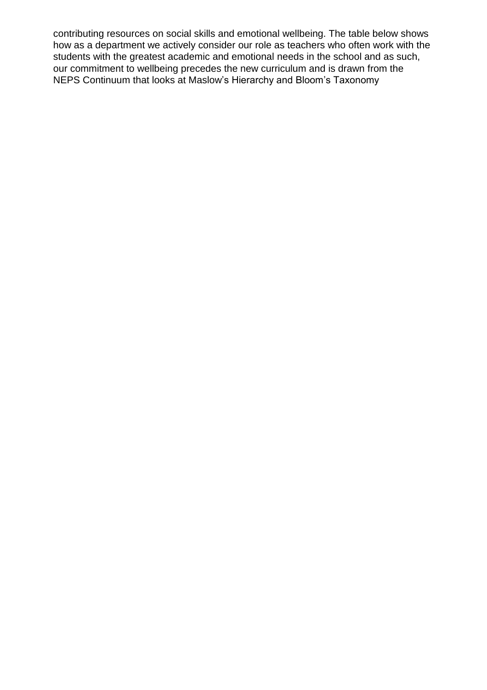contributing resources on social skills and emotional wellbeing. The table below shows how as a department we actively consider our role as teachers who often work with the students with the greatest academic and emotional needs in the school and as such, our commitment to wellbeing precedes the new curriculum and is drawn from the NEPS Continuum that looks at Maslow's Hierarchy and Bloom's Taxonomy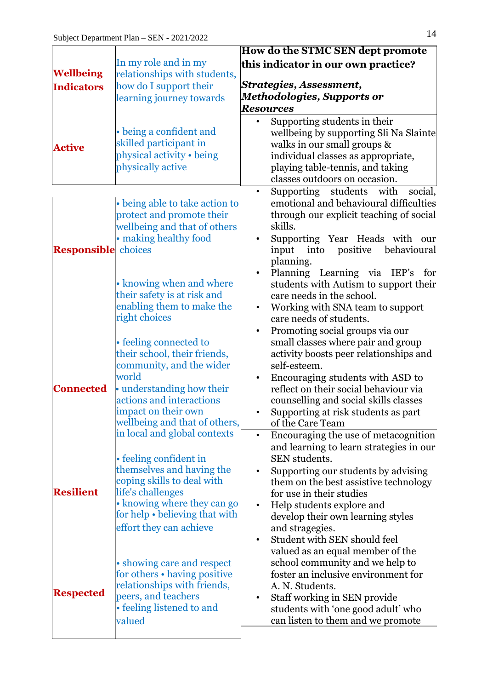| <b>Wellbeing</b><br><b>Indicators</b> | In my role and in my<br>relationships with students,<br>how do I support their<br>learning journey towards                                                                                                                                                          | <b>How do the STMC SEN dept promote</b><br>this indicator in our own practice?<br>Strategies, Assessment,<br><b>Methodologies, Supports or</b><br><b>Resources</b>                                                                                                                                                                                                                                                                                                                                                                                                                                                                                                                                                                          |
|---------------------------------------|---------------------------------------------------------------------------------------------------------------------------------------------------------------------------------------------------------------------------------------------------------------------|---------------------------------------------------------------------------------------------------------------------------------------------------------------------------------------------------------------------------------------------------------------------------------------------------------------------------------------------------------------------------------------------------------------------------------------------------------------------------------------------------------------------------------------------------------------------------------------------------------------------------------------------------------------------------------------------------------------------------------------------|
| <b>Active</b>                         | • being a confident and<br>skilled participant in<br>physical activity • being<br>physically active                                                                                                                                                                 | Supporting students in their<br>wellbeing by supporting Sli Na Slainte<br>walks in our small groups &<br>individual classes as appropriate,<br>playing table-tennis, and taking<br>classes outdoors on occasion.                                                                                                                                                                                                                                                                                                                                                                                                                                                                                                                            |
| <b>Responsible</b> choices            | • being able to take action to<br>protect and promote their<br>wellbeing and that of others<br>• making healthy food<br>• knowing when and where                                                                                                                    | Supporting students<br>with<br>social,<br>$\bullet$<br>emotional and behavioural difficulties<br>through our explicit teaching of social<br>skills.<br>Supporting Year Heads with our<br>positive<br>input<br>into<br>behavioural<br>planning.<br>Planning Learning via IEP's for<br>students with Autism to support their                                                                                                                                                                                                                                                                                                                                                                                                                  |
| <b>Connected</b>                      | their safety is at risk and<br>enabling them to make the<br>right choices<br>• feeling connected to<br>their school, their friends,<br>community, and the wider<br>world<br>• understanding how their<br>actions and interactions<br>impact on their own            | care needs in the school.<br>Working with SNA team to support<br>$\bullet$<br>care needs of students.<br>Promoting social groups via our<br>$\bullet$<br>small classes where pair and group<br>activity boosts peer relationships and<br>self-esteem.<br>Encouraging students with ASD to<br>reflect on their social behaviour via<br>counselling and social skills classes<br>Supporting at risk students as part<br>of the Care Team<br>Encouraging the use of metacognition<br>and learning to learn strategies in our<br>SEN students.<br>Supporting our students by advising<br>them on the best assistive technology<br>for use in their studies<br>Help students explore and<br>develop their own learning styles<br>and stragegies. |
| <b>Resilient</b>                      | wellbeing and that of others,<br>in local and global contexts<br>• feeling confident in<br>themselves and having the<br>coping skills to deal with<br>life's challenges<br>• knowing where they can go<br>for help • believing that with<br>effort they can achieve |                                                                                                                                                                                                                                                                                                                                                                                                                                                                                                                                                                                                                                                                                                                                             |
| <b>Respected</b>                      | • showing care and respect<br>for others • having positive<br>relationships with friends,<br>peers, and teachers<br>• feeling listened to and<br>valued                                                                                                             | Student with SEN should feel<br>valued as an equal member of the<br>school community and we help to<br>foster an inclusive environment for<br>A. N. Students.<br>Staff working in SEN provide<br>students with 'one good adult' who<br>can listen to them and we promote                                                                                                                                                                                                                                                                                                                                                                                                                                                                    |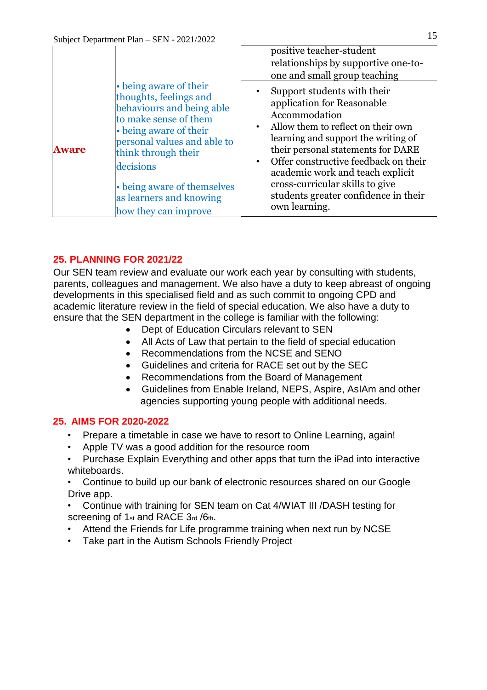|              |                                                                                                                                                                                                                                                                                       | positive teacher-student<br>relationships by supportive one-to-<br>one and small group teaching                                                                                                                                                                                                                                                                                    |
|--------------|---------------------------------------------------------------------------------------------------------------------------------------------------------------------------------------------------------------------------------------------------------------------------------------|------------------------------------------------------------------------------------------------------------------------------------------------------------------------------------------------------------------------------------------------------------------------------------------------------------------------------------------------------------------------------------|
| <b>Aware</b> | • being aware of their<br>thoughts, feelings and<br>behaviours and being able<br>to make sense of them<br>• being aware of their<br>personal values and able to<br>think through their<br>decisions<br>• being aware of themselves<br>as learners and knowing<br>how they can improve | Support students with their<br>application for Reasonable<br>Accommodation<br>Allow them to reflect on their own<br>$\bullet$<br>learning and support the writing of<br>their personal statements for DARE<br>Offer constructive feedback on their<br>academic work and teach explicit<br>cross-curricular skills to give<br>students greater confidence in their<br>own learning. |

### **25. PLANNING FOR 2021/22**

Our SEN team review and evaluate our work each year by consulting with students, parents, colleagues and management. We also have a duty to keep abreast of ongoing developments in this specialised field and as such commit to ongoing CPD and academic literature review in the field of special education. We also have a duty to ensure that the SEN department in the college is familiar with the following:

- Dept of Education Circulars relevant to SEN
- All Acts of Law that pertain to the field of special education
- Recommendations from the NCSE and SENO
- Guidelines and criteria for RACE set out by the SEC
- Recommendations from the Board of Management
- Guidelines from Enable Ireland, NEPS, Aspire, AsIAm and other agencies supporting young people with additional needs.

### **25. AIMS FOR 2020-2022**

- Prepare a timetable in case we have to resort to Online Learning, again!
- Apple TV was a good addition for the resource room
- Purchase Explain Everything and other apps that turn the iPad into interactive whiteboards.
- Continue to build up our bank of electronic resources shared on our Google Drive app.
- Continue with training for SEN team on Cat 4/WIAT III /DASH testing for screening of 1st and RACE 3rd /6th.
- Attend the Friends for Life programme training when next run by NCSE
- Take part in the Autism Schools Friendly Project